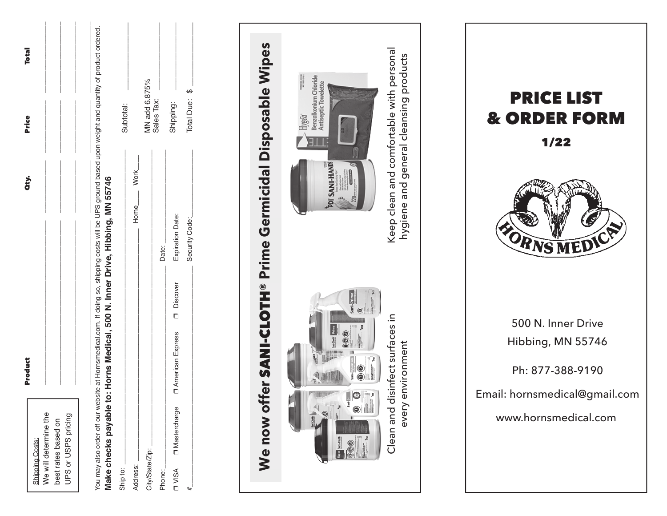| <b>Total</b><br>Price<br>roduct | à. |                        |                       |                     |                     |  |
|---------------------------------|----|------------------------|-----------------------|---------------------|---------------------|--|
|                                 |    | <b>Shipping Costs:</b> | Ne will determine the | best rates based on | UPS or USPS pricing |  |

Product Qty. Price Total Price đ,

|                                                                                                                                                                    |                                                                                 | Subtotal |
|--------------------------------------------------------------------------------------------------------------------------------------------------------------------|---------------------------------------------------------------------------------|----------|
| bsite at Hornsmedical.com. If doing so, shipping costs will be UPS ground based upon weight and quantity of product orderections<br>You may also order off our we. | to: Horns Medical, 500 N. Inner Drive, Hibbing, MN 55746<br>Make checks pavable | hip to:  |

 $\mathbb{R}$ .

|                 | MN add 6.875%<br>Sales Tax: |       | Shipping:                 | Total Due: \$  |
|-----------------|-----------------------------|-------|---------------------------|----------------|
|                 |                             |       |                           |                |
| Home Work       |                             | Date: | Expiration Date:          | Security Code: |
|                 |                             |       |                           |                |
|                 |                             |       | American Express Discover |                |
|                 |                             |       | JVISA J<br>Mastercharge   |                |
| <b>Address:</b> | City/State/Zip:             | hone: |                           |                |





Email: hornsmedical@gmail.com

www.hornsmedical.com